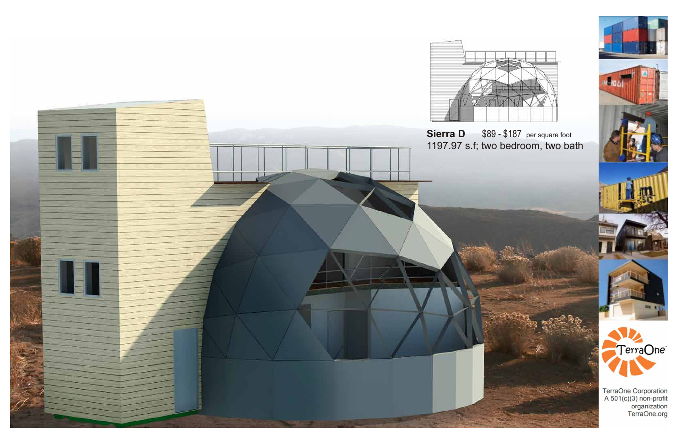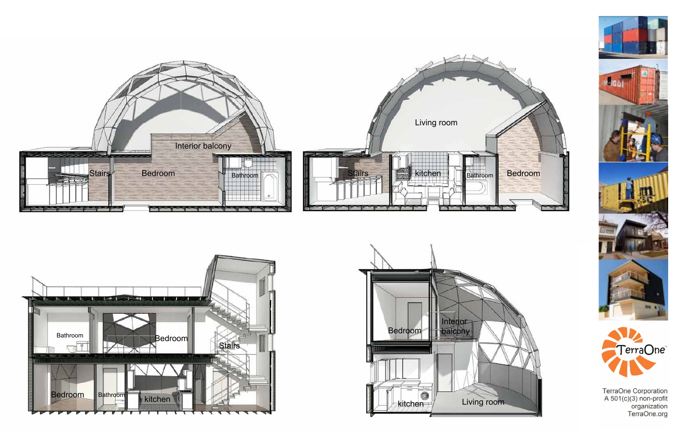









TerraOne Corporation<br>A 501(c)(3) non-profit<br>organization<br>TerraOne.org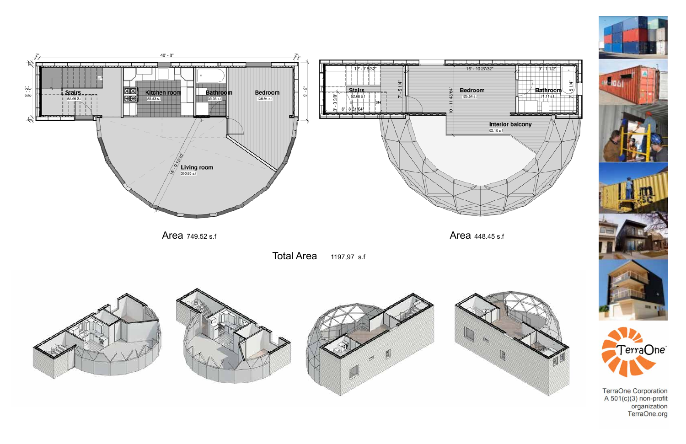

Total Area 1197,97 s.f







TerraOne Corporation<br>A 501(c)(3) non-profit<br>organization<br>TerraOne.org